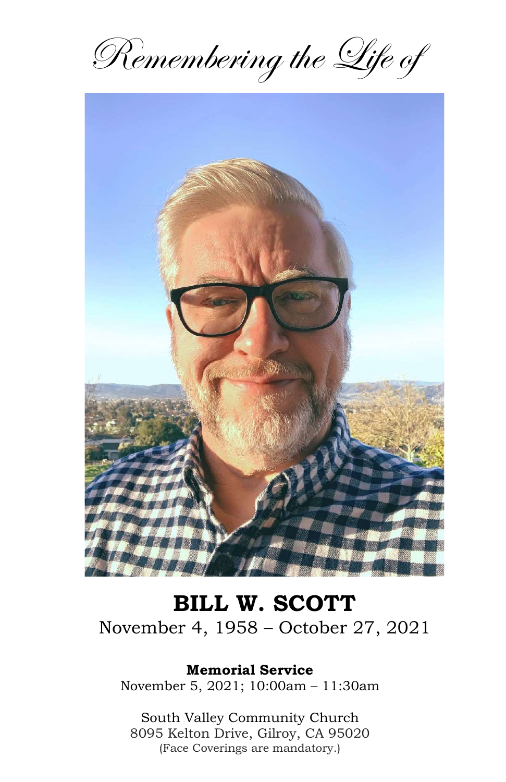Remembering the Life of



# BILL W. SCOTT November 4, 1958 – October 27, 2021

Memorial Service

November 5, 2021; 10:00am – 11:30am

South Valley Community Church 8095 Kelton Drive, Gilroy, CA 95020 (Face Coverings are mandatory.)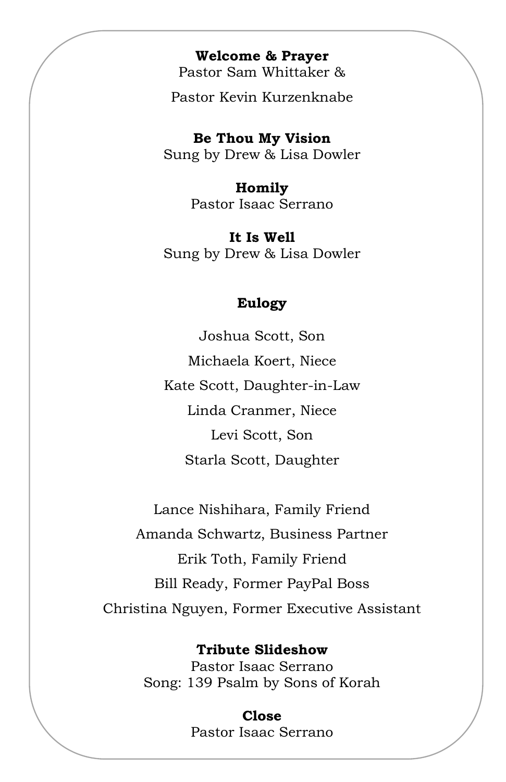#### Welcome & Prayer

Pastor Sam Whittaker &

Pastor Kevin Kurzenknabe

Be Thou My Vision Sung by Drew & Lisa Dowler

> Homily Pastor Isaac Serrano

It Is Well Sung by Drew & Lisa Dowler

### Eulogy

Joshua Scott, Son Michaela Koert, Niece Kate Scott, Daughter-in-Law Linda Cranmer, Niece Levi Scott, Son Starla Scott, Daughter

Lance Nishihara, Family Friend Amanda Schwartz, Business Partner Erik Toth, Family Friend Bill Ready, Former PayPal Boss Christina Nguyen, Former Executive Assistant

Tribute Slideshow

Pastor Isaac Serrano Song: 139 Psalm by Sons of Korah

> Close Pastor Isaac Serrano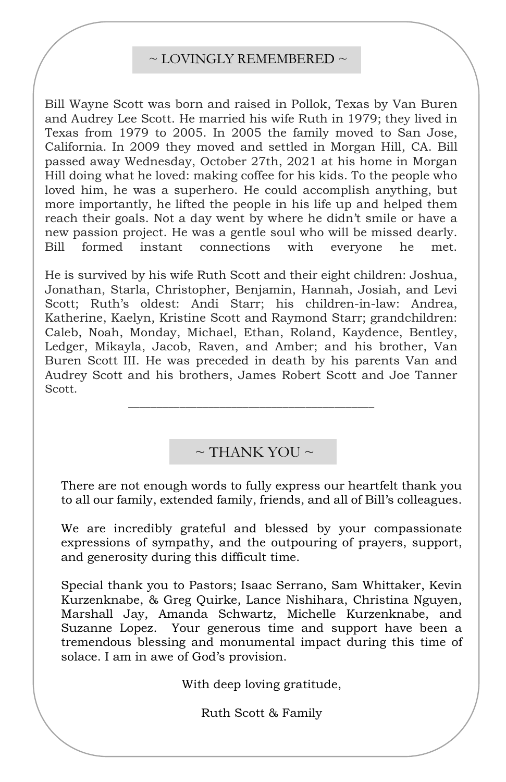#### $\sim$  LOVINGLY REMEMBERED  $\sim$

Bill Wayne Scott was born and raised in Pollok, Texas by Van Buren and Audrey Lee Scott. He married his wife Ruth in 1979; they lived in Texas from 1979 to 2005. In 2005 the family moved to San Jose, California. In 2009 they moved and settled in Morgan Hill, CA. Bill passed away Wednesday, October 27th, 2021 at his home in Morgan Hill doing what he loved: making coffee for his kids. To the people who loved him, he was a superhero. He could accomplish anything, but more importantly, he lifted the people in his life up and helped them reach their goals. Not a day went by where he didn't smile or have a new passion project. He was a gentle soul who will be missed dearly. Bill formed instant connections with everyone he met.

Scott; Ruth's oldest: Andi Starr; his children-in-law: Andrea, He is survived by his wife Ruth Scott and their eight children: Joshua, Jonathan, Starla, Christopher, Benjamin, Hannah, Josiah, and Levi Katherine, Kaelyn, Kristine Scott and Raymond Starr; grandchildren: Caleb, Noah, Monday, Michael, Ethan, Roland, Kaydence, Bentley, Ledger, Mikayla, Jacob, Raven, and Amber; and his brother, Van Buren Scott III. He was preceded in death by his parents Van and Audrey Scott and his brothers, James Robert Scott and Joe Tanner Scott.

## $\sim$  THANK YOU  $\sim$

\_\_\_\_\_\_\_\_\_\_\_\_\_\_\_\_\_\_\_\_\_\_\_\_\_\_\_\_\_\_\_\_\_\_\_\_\_\_\_\_\_\_\_

There are not enough words to fully express our heartfelt thank you to all our family, extended family, friends, and all of Bill's colleagues.

We are incredibly grateful and blessed by your compassionate expressions of sympathy, and the outpouring of prayers, support, and generosity during this difficult time.

Special thank you to Pastors; Isaac Serrano, Sam Whittaker, Kevin Kurzenknabe, & Greg Quirke, Lance Nishihara, Christina Nguyen, Marshall Jay, Amanda Schwartz, Michelle Kurzenknabe, and Suzanne Lopez. Your generous time and support have been a tremendous blessing and monumental impact during this time of solace. I am in awe of God's provision.

With deep loving gratitude,

Ruth Scott & Family